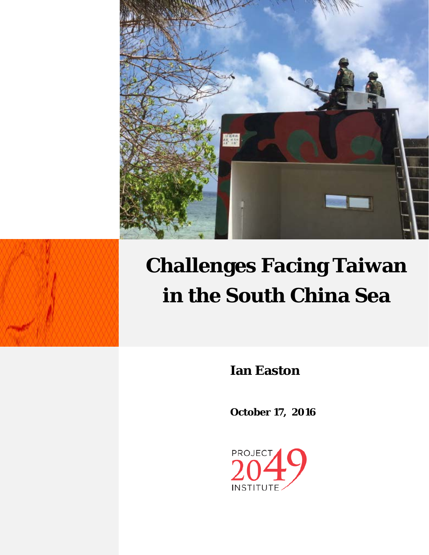



# **Challenges Facing Taiwan in the South China Sea**

**Ian Easton**

**October 17, 2016**

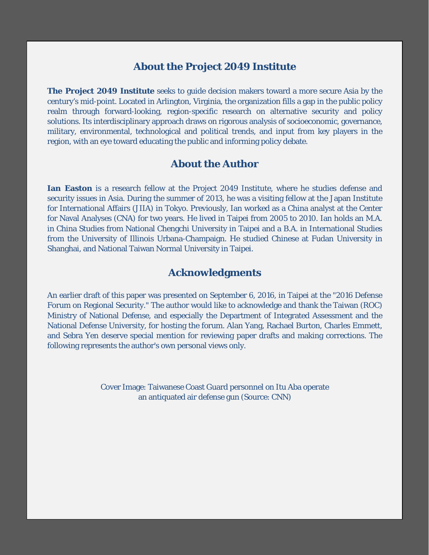## **About the Project 2049 Institute**

**The Project 2049 Institute** seeks to guide decision makers toward a more secure Asia by the century's mid-point. Located in Arlington, Virginia, the organization fills a gap in the public policy realm through forward-looking, region-specific research on alternative security and policy solutions. Its interdisciplinary approach draws on rigorous analysis of socioeconomic, governance, military, environmental, technological and political trends, and input from key players in the region, with an eye toward educating the public and informing policy debate.

## **About the Author**

**Ian Easton** is a research fellow at the Project 2049 Institute, where he studies defense and security issues in Asia. During the summer of 2013, he was a visiting fellow at the Japan Institute for International Affairs (JIIA) in Tokyo. Previously, Ian worked as a China analyst at the Center for Naval Analyses (CNA) for two years. He lived in Taipei from 2005 to 2010. Ian holds an M.A. in China Studies from National Chengchi University in Taipei and a B.A. in International Studies from the University of Illinois Urbana-Champaign. He studied Chinese at Fudan University in Shanghai, and National Taiwan Normal University in Taipei.

## **Acknowledgments**

An earlier draft of this paper was presented on September 6, 2016, in Taipei at the "2016 Defense Forum on Regional Security." The author would like to acknowledge and thank the Taiwan (ROC) Ministry of National Defense, and especially the Department of Integrated Assessment and the National Defense University, for hosting the forum. Alan Yang, Rachael Burton, Charles Emmett, and Sebra Yen deserve special mention for reviewing paper drafts and making corrections. The following represents the author's own personal views only.

> Cover Image: Taiwanese Coast Guard personnel on Itu Aba operate an antiquated air defense gun (Source: CNN)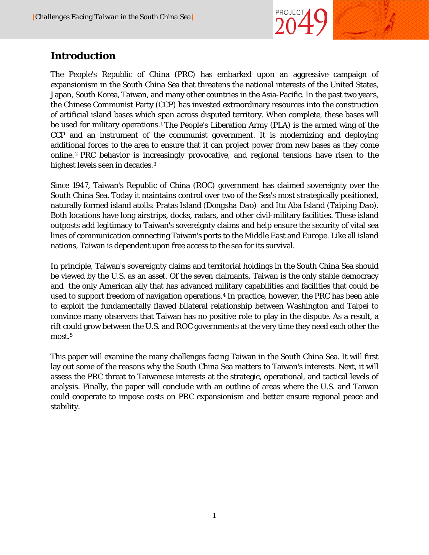

# **Introduction**

The People's Republic of China (PRC) has embarked upon an aggressive campaign of expansionism in the South China Sea that threatens the national interests of the United States, Japan, South Korea, Taiwan, and many other countries in the Asia-Pacific. In the past two years, the Chinese Communist Party (CCP) has invested extraordinary resources into the construction of artificial island bases which span across disputed territory. When complete, these bases will be used for military operations.<sup>[1](#page-20-0)</sup> The People's Liberation Army (PLA) is the armed wing of the CCP and an instrument of the communist government. It is modernizing and deploying additional forces to the area to ensure that it can project power from new bases as they come online. [2](#page-20-1) PRC behavior is increasingly provocative, and regional tensions have risen to the highest levels seen in decades.[3](#page-20-2) 

Since 1947, Taiwan's Republic of China (ROC) government has claimed sovereignty over the South China Sea. Today it maintains control over two of the Sea's most strategically positioned, naturally formed island atolls: Pratas Island (*Dongsha Dao*) and Itu Aba Island (*Taiping Dao*). Both locations have long airstrips, docks, radars, and other civil-military facilities. These island outposts add legitimacy to Taiwan's sovereignty claims and help ensure the security of vital sea lines of communication connecting Taiwan's ports to the Middle East and Europe. Like all island nations, Taiwan is dependent upon free access to the sea for its survival.

In principle, Taiwan's sovereignty claims and territorial holdings in the South China Sea should be viewed by the U.S. as an asset. Of the seven claimants, Taiwan is the only stable democracy and the only American ally that has advanced military capabilities and facilities that could be used to support freedom of navigation operations.<sup>[4](#page-20-3)</sup> In practice, however, the PRC has been able to exploit the fundamentally flawed bilateral relationship between Washington and Taipei to convince many observers that Taiwan has no positive role to play in the dispute. As a result, a rift could grow between the U.S. and ROC governments at the very time they need each other the most.<sup>[5](#page-20-4)</sup>

This paper will examine the many challenges facing Taiwan in the South China Sea. It will first lay out some of the reasons why the South China Sea matters to Taiwan's interests. Next, it will assess the PRC threat to Taiwanese interests at the strategic, operational, and tactical levels of analysis. Finally, the paper will conclude with an outline of areas where the U.S. and Taiwan could cooperate to impose costs on PRC expansionism and better ensure regional peace and stability.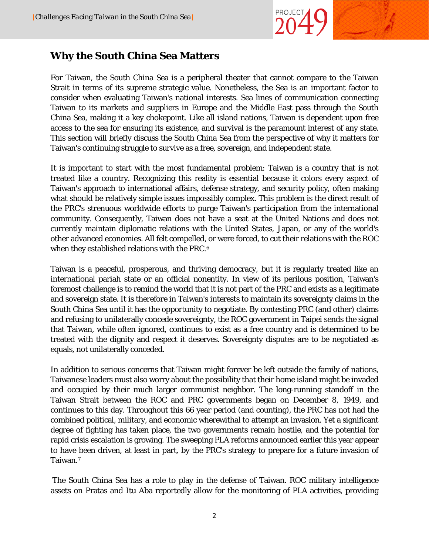

## **Why the South China Sea Matters**

For Taiwan, the South China Sea is a peripheral theater that cannot compare to the Taiwan Strait in terms of its supreme strategic value. Nonetheless, the Sea is an important factor to consider when evaluating Taiwan's national interests. Sea lines of communication connecting Taiwan to its markets and suppliers in Europe and the Middle East pass through the South China Sea, making it a key chokepoint. Like all island nations, Taiwan is dependent upon free access to the sea for ensuring its existence, and survival is the paramount interest of any state. This section will briefly discuss the South China Sea from the perspective of why it matters for Taiwan's continuing struggle to survive as a free, sovereign, and independent state.

It is important to start with the most fundamental problem: Taiwan is a country that is not treated like a country. Recognizing this reality is essential because it colors every aspect of Taiwan's approach to international affairs, defense strategy, and security policy, often making what should be relatively simple issues impossibly complex. This problem is the direct result of the PRC's strenuous worldwide efforts to purge Taiwan's participation from the international community. Consequently, Taiwan does not have a seat at the United Nations and does not currently maintain diplomatic relations with the United States, Japan, or any of the world's other advanced economies. All felt compelled, or were forced, to cut their relations with the ROC when they established relations with the PRC.<sup>[6](#page-20-5)</sup>

Taiwan is a peaceful, prosperous, and thriving democracy, but it is regularly treated like an international pariah state or an official nonentity. In view of its perilous position, Taiwan's foremost challenge is to remind the world that it is not part of the PRC and exists as a legitimate and sovereign state. It is therefore in Taiwan's interests to maintain its sovereignty claims in the South China Sea until it has the opportunity to negotiate. By contesting PRC (and other) claims and refusing to unilaterally concede sovereignty, the ROC government in Taipei sends the signal that Taiwan, while often ignored, continues to exist as a free country and is determined to be treated with the dignity and respect it deserves. Sovereignty disputes are to be negotiated as equals, not unilaterally conceded.

In addition to serious concerns that Taiwan might forever be left outside the family of nations, Taiwanese leaders must also worry about the possibility that their home island might be invaded and occupied by their much larger communist neighbor. The long-running standoff in the Taiwan Strait between the ROC and PRC governments began on December 8, 1949, and continues to this day. Throughout this 66 year period (and counting), the PRC has not had the combined political, military, and economic wherewithal to attempt an invasion. Yet a significant degree of fighting has taken place, the two governments remain hostile, and the potential for rapid crisis escalation is growing. The sweeping PLA reforms announced earlier this year appear to have been driven, at least in part, by the PRC's strategy to prepare for a future invasion of Taiwan.[7](#page-20-6)

The South China Sea has a role to play in the defense of Taiwan. ROC military intelligence assets on Pratas and Itu Aba reportedly allow for the monitoring of PLA activities, providing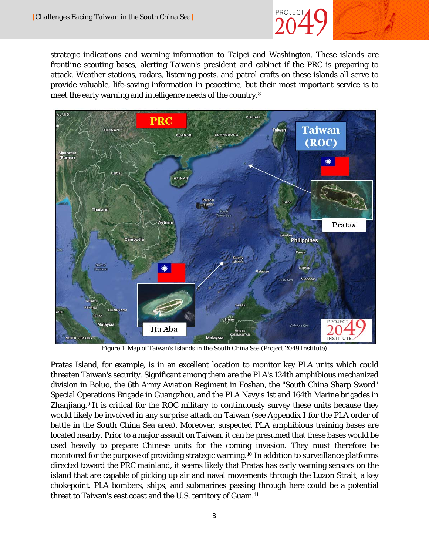

strategic indications and warning information to Taipei and Washington. These islands are frontline scouting bases, alerting Taiwan's president and cabinet if the PRC is preparing to attack. Weather stations, radars, listening posts, and patrol crafts on these islands all serve to provide valuable, life-saving information in peacetime, but their most important service is to meet the early warning and intelligence needs of the country.[8](#page-20-7)



Figure 1: Map of Taiwan's Islands in the South China Sea (Project 2049 Institute)

Pratas Island, for example, is in an excellent location to monitor key PLA units which could threaten Taiwan's security. Significant among them are the PLA's 124th amphibious mechanized division in Boluo, the 6th Army Aviation Regiment in Foshan, the "South China Sharp Sword" Special Operations Brigade in Guangzhou, and the PLA Navy's 1st and 164th Marine brigades in Zhanjiang.<sup>[9](#page-20-8)</sup> It is critical for the ROC military to continuously survey these units because they would likely be involved in any surprise attack on Taiwan (see Appendix I for the PLA order of battle in the South China Sea area). Moreover, suspected PLA amphibious training bases are located nearby. Prior to a major assault on Taiwan, it can be presumed that these bases would be used heavily to prepare Chinese units for the coming invasion. They must therefore be monitored for the purpose of providing strategic warning[.10](#page-21-0) In addition to surveillance platforms directed toward the PRC mainland, it seems likely that Pratas has early warning sensors on the island that are capable of picking up air and naval movements through the Luzon Strait, a key chokepoint. PLA bombers, ships, and submarines passing through here could be a potential threat to Taiwan's east coast and the U.S. territory of Guam.[11](#page-21-1)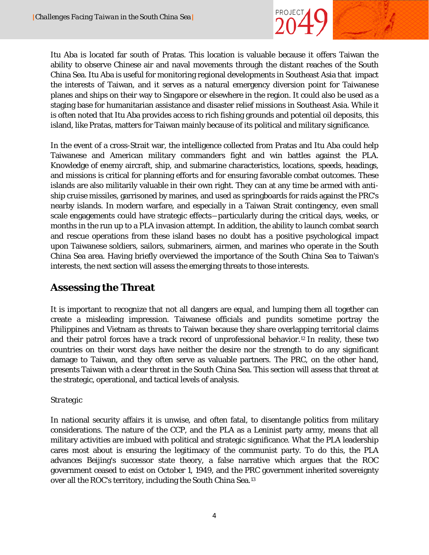

Itu Aba is located far south of Pratas. This location is valuable because it offers Taiwan the ability to observe Chinese air and naval movements through the distant reaches of the South China Sea. Itu Aba is useful for monitoring regional developments in Southeast Asia that impact the interests of Taiwan, and it serves as a natural emergency diversion point for Taiwanese planes and ships on their way to Singapore or elsewhere in the region. It could also be used as a staging base for humanitarian assistance and disaster relief missions in Southeast Asia. While it is often noted that Itu Aba provides access to rich fishing grounds and potential oil deposits, this island, like Pratas, matters for Taiwan mainly because of its political and military significance.

In the event of a cross-Strait war, the intelligence collected from Pratas and Itu Aba could help Taiwanese and American military commanders fight and win battles against the PLA. Knowledge of enemy aircraft, ship, and submarine characteristics, locations, speeds, headings, and missions is critical for planning efforts and for ensuring favorable combat outcomes. These islands are also militarily valuable in their own right. They can at any time be armed with antiship cruise missiles, garrisoned by marines, and used as springboards for raids against the PRC's nearby islands. In modern warfare, and especially in a Taiwan Strait contingency, even small scale engagements could have strategic effects―particularly during the critical days, weeks, or months in the run up to a PLA invasion attempt. In addition, the ability to launch combat search and rescue operations from these island bases no doubt has a positive psychological impact upon Taiwanese soldiers, sailors, submariners, airmen, and marines who operate in the South China Sea area. Having briefly overviewed the importance of the South China Sea to Taiwan's interests, the next section will assess the emerging threats to those interests.

# **Assessing the Threat**

It is important to recognize that not all dangers are equal, and lumping them all together can create a misleading impression. Taiwanese officials and pundits sometime portray the Philippines and Vietnam as threats to Taiwan because they share overlapping territorial claims and their patrol forces have a track record of unprofessional behavior.[12](#page-21-2) In reality, these two countries on their worst days have neither the desire nor the strength to do any significant damage to Taiwan, and they often serve as valuable partners. The PRC, on the other hand, presents Taiwan with a clear threat in the South China Sea. This section will assess that threat at the strategic, operational, and tactical levels of analysis.

#### *Strategic*

In national security affairs it is unwise, and often fatal, to disentangle politics from military considerations. The nature of the CCP, and the PLA as a Leninist party army, means that all military activities are imbued with political and strategic significance. What the PLA leadership cares most about is ensuring the legitimacy of the communist party. To do this, the PLA advances Beijing's successor state theory, a false narrative which argues that the ROC government ceased to exist on October 1, 1949, and the PRC government inherited sovereignty over all the ROC's territory, including the South China Sea.[13](#page-21-3)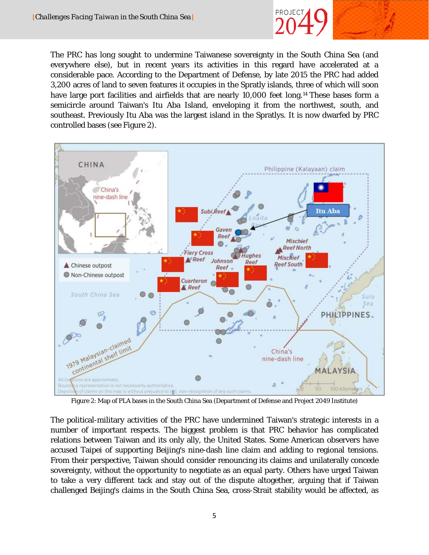

The PRC has long sought to undermine Taiwanese sovereignty in the South China Sea (and everywhere else), but in recent years its activities in this regard have accelerated at a considerable pace. According to the Department of Defense, by late 2015 the PRC had added 3,200 acres of land to seven features it occupies in the Spratly islands, three of which will soon have large port facilities and airfields that are nearly 10,000 feet long.<sup>[14](#page-21-4)</sup> These bases form a semicircle around Taiwan's Itu Aba Island, enveloping it from the northwest, south, and southeast. Previously Itu Aba was the largest island in the Spratlys. It is now dwarfed by PRC controlled bases (see Figure 2).



Figure 2: Map of PLA bases in the South China Sea (Department of Defense and Project 2049 Institute)

The political-military activities of the PRC have undermined Taiwan's strategic interests in a number of important respects. The biggest problem is that PRC behavior has complicated relations between Taiwan and its only ally, the United States. Some American observers have accused Taipei of supporting Beijing's nine-dash line claim and adding to regional tensions. From their perspective, Taiwan should consider renouncing its claims and unilaterally concede sovereignty, without the opportunity to negotiate as an equal party. Others have urged Taiwan to take a very different tack and stay out of the dispute altogether, arguing that if Taiwan challenged Beijing's claims in the South China Sea, cross-Strait stability would be affected, as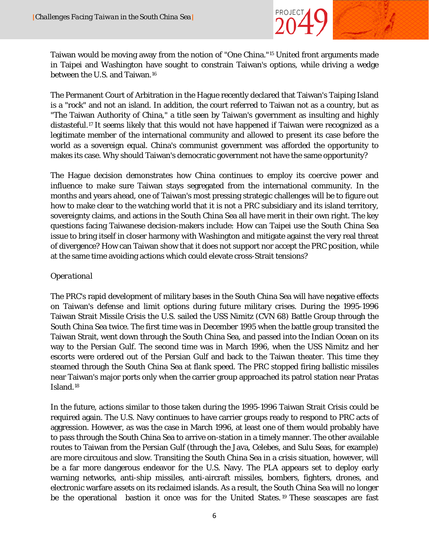

Taiwan would be moving away from the notion of "One China."[15](#page-21-5) United front arguments made in Taipei and Washington have sought to constrain Taiwan's options, while driving a wedge between the U.S. and Taiwan.<sup>[16](#page-21-6)</sup>

The Permanent Court of Arbitration in the Hague recently declared that Taiwan's Taiping Island is a "rock" and not an island. In addition, the court referred to Taiwan not as a country, but as "The Taiwan Authority of China," a title seen by Taiwan's government as insulting and highly distasteful.[17](#page-21-7) It seems likely that this would not have happened if Taiwan were recognized as a legitimate member of the international community and allowed to present its case before the world as a sovereign equal. China's communist government was afforded the opportunity to makes its case. Why should Taiwan's democratic government not have the same opportunity?

The Hague decision demonstrates how China continues to employ its coercive power and influence to make sure Taiwan stays segregated from the international community. In the months and years ahead, one of Taiwan's most pressing strategic challenges will be to figure out how to make clear to the watching world that it is not a PRC subsidiary and its island territory, sovereignty claims, and actions in the South China Sea all have merit in their own right. The key questions facing Taiwanese decision-makers include: How can Taipei use the South China Sea issue to bring itself in closer harmony with Washington and mitigate against the very real threat of divergence? How can Taiwan show that it does not support nor accept the PRC position, while at the same time avoiding actions which could elevate cross-Strait tensions?

#### *Operational*

The PRC's rapid development of military bases in the South China Sea will have negative effects on Taiwan's defense and limit options during future military crises. During the 1995-1996 Taiwan Strait Missile Crisis the U.S. sailed the USS Nimitz (CVN 68) Battle Group through the South China Sea twice. The first time was in December 1995 when the battle group transited the Taiwan Strait, went down through the South China Sea, and passed into the Indian Ocean on its way to the Persian Gulf. The second time was in March 1996, when the USS Nimitz and her escorts were ordered out of the Persian Gulf and back to the Taiwan theater. This time they steamed through the South China Sea at flank speed. The PRC stopped firing ballistic missiles near Taiwan's major ports only when the carrier group approached its patrol station near Pratas Island.[18](#page-21-8)

In the future, actions similar to those taken during the 1995-1996 Taiwan Strait Crisis could be required again. The U.S. Navy continues to have carrier groups ready to respond to PRC acts of aggression. However, as was the case in March 1996, at least one of them would probably have to pass through the South China Sea to arrive on-station in a timely manner. The other available routes to Taiwan from the Persian Gulf (through the Java, Celebes, and Sulu Seas, for example) are more circuitous and slow. Transiting the South China Sea in a crisis situation, however, will be a far more dangerous endeavor for the U.S. Navy. The PLA appears set to deploy early warning networks, anti-ship missiles, anti-aircraft missiles, bombers, fighters, drones, and electronic warfare assets on its reclaimed islands. As a result, the South China Sea will no longer be the operational bastion it once was for the United States.<sup>[19](#page-21-9)</sup> These seascapes are fast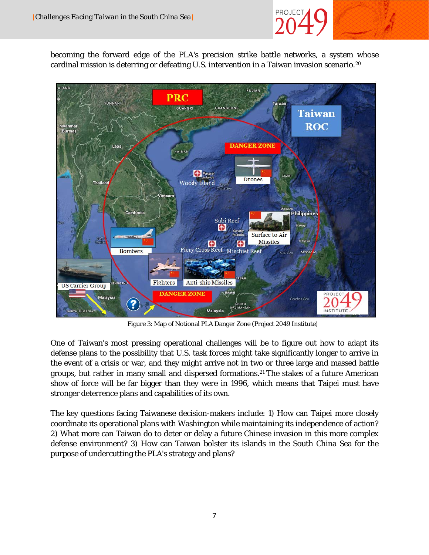

becoming the forward edge of the PLA's precision strike battle networks, a system whose cardinal mission is deterring or defeating U.S. intervention in a Taiwan invasion scenario.[20](#page-21-10)



Figure 3: Map of Notional PLA Danger Zone (Project 2049 Institute)

One of Taiwan's most pressing operational challenges will be to figure out how to adapt its defense plans to the possibility that U.S. task forces might take significantly longer to arrive in the event of a crisis or war, and they might arrive not in two or three large and massed battle groups, but rather in many small and dispersed formations.[21](#page-21-11) The stakes of a future American show of force will be far bigger than they were in 1996, which means that Taipei must have stronger deterrence plans and capabilities of its own.

The key questions facing Taiwanese decision-makers include: 1) How can Taipei more closely coordinate its operational plans with Washington while maintaining its independence of action? 2) What more can Taiwan do to deter or delay a future Chinese invasion in this more complex defense environment? 3) How can Taiwan bolster its islands in the South China Sea for the purpose of undercutting the PLA's strategy and plans?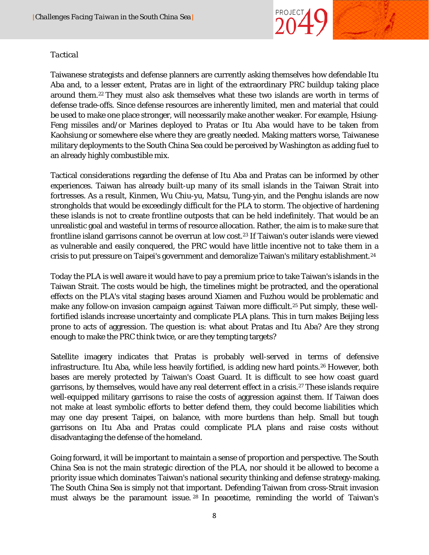

#### *Tactical*

Taiwanese strategists and defense planners are currently asking themselves how defendable Itu Aba and, to a lesser extent, Pratas are in light of the extraordinary PRC buildup taking place around them.[22](#page-21-1) They must also ask themselves what these two islands are worth in terms of defense trade-offs. Since defense resources are inherently limited, men and material that could be used to make one place stronger, will necessarily make another weaker. For example, Hsiung-Feng missiles and/or Marines deployed to Pratas or Itu Aba would have to be taken from Kaohsiung or somewhere else where they are greatly needed. Making matters worse, Taiwanese military deployments to the South China Sea could be perceived by Washington as adding fuel to an already highly combustible mix.

Tactical considerations regarding the defense of Itu Aba and Pratas can be informed by other experiences. Taiwan has already built-up many of its small islands in the Taiwan Strait into fortresses. As a result, Kinmen, Wu Chiu-yu, Matsu, Tung-yin, and the Penghu islands are now strongholds that would be exceedingly difficult for the PLA to storm. The objective of hardening these islands is not to create frontline outposts that can be held indefinitely. That would be an unrealistic goal and wasteful in terms of resource allocation. Rather, the aim is to make sure that frontline island garrisons cannot be overrun at low cost.<sup>23</sup> If Taiwan's outer islands were viewed as vulnerable and easily conquered, the PRC would have little incentive *not* to take them in a crisis to put pressure on Taipei's government and demoralize Taiwan's military establishment.<sup>[24](#page-21-13)</sup>

Today the PLA is well aware it would have to pay a premium price to take Taiwan's islands in the Taiwan Strait. The costs would be high, the timelines might be protracted, and the operational effects on the PLA's vital staging bases around Xiamen and Fuzhou would be problematic and make any follow-on invasion campaign against Taiwan more difficult.<sup>[25](#page-21-14)</sup> Put simply, these wellfortified islands increase uncertainty and complicate PLA plans. This in turn makes Beijing less prone to acts of aggression. The question is: what about Pratas and Itu Aba? Are they strong enough to make the PRC think twice, or are they tempting targets?

Satellite imagery indicates that Pratas is probably well-served in terms of defensive infrastructure. Itu Aba, while less heavily fortified, is adding new hard points.[26](#page-21-15) However, both bases are merely protected by Taiwan's Coast Guard. It is difficult to see how coast guard garrisons, by themselves, would have any real deterrent effect in a crisis.[27](#page-21-16) These islands require well-equipped military garrisons to raise the costs of aggression against them. If Taiwan does not make at least symbolic efforts to better defend them, they could become liabilities which may one day present Taipei, on balance, with more burdens than help. Small but tough garrisons on Itu Aba and Pratas could complicate PLA plans and raise costs without disadvantaging the defense of the homeland.

Going forward, it will be important to maintain a sense of proportion and perspective. The South China Sea is not the main strategic direction of the PLA, nor should it be allowed to become a priority issue which dominates Taiwan's national security thinking and defense strategy-making. The South China Sea is simply not that important. Defending Taiwan from cross-Strait invasion must always be the paramount issue. [28](#page-21-17) In peacetime, reminding the world of Taiwan's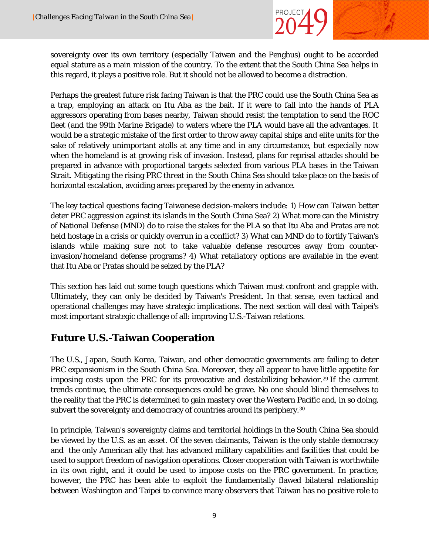

sovereignty over its own territory (especially Taiwan and the Penghus) ought to be accorded equal stature as a main mission of the country. To the extent that the South China Sea helps in this regard, it plays a positive role. But it should not be allowed to become a distraction.

Perhaps the greatest future risk facing Taiwan is that the PRC could use the South China Sea as a trap, employing an attack on Itu Aba as the bait. If it were to fall into the hands of PLA aggressors operating from bases nearby, Taiwan should resist the temptation to send the ROC fleet (and the 99th Marine Brigade) to waters where the PLA would have all the advantages. It would be a strategic mistake of the first order to throw away capital ships and elite units for the sake of relatively unimportant atolls at any time and in any circumstance, but especially now when the homeland is at growing risk of invasion. Instead, plans for reprisal attacks should be prepared in advance with proportional targets selected from various PLA bases in the Taiwan Strait. Mitigating the rising PRC threat in the South China Sea should take place on the basis of horizontal escalation, avoiding areas prepared by the enemy in advance.

The key tactical questions facing Taiwanese decision-makers include: 1) How can Taiwan better deter PRC aggression against its islands in the South China Sea? 2) What more can the Ministry of National Defense (MND) do to raise the stakes for the PLA so that Itu Aba and Pratas are not held hostage in a crisis or quickly overrun in a conflict? 3) What can MND do to fortify Taiwan's islands while making sure not to take valuable defense resources away from counterinvasion/homeland defense programs? 4) What retaliatory options are available in the event that Itu Aba or Pratas should be seized by the PLA?

This section has laid out some tough questions which Taiwan must confront and grapple with. Ultimately, they can only be decided by Taiwan's President. In that sense, even tactical and operational challenges may have strategic implications. The next section will deal with Taipei's most important strategic challenge of all: improving U.S.-Taiwan relations.

# **Future U.S.-Taiwan Cooperation**

The U.S., Japan, South Korea, Taiwan, and other democratic governments are failing to deter PRC expansionism in the South China Sea. Moreover, they all appear to have little appetite for imposing costs upon the PRC for its provocative and destabilizing behavior.<sup>29</sup> If the current trends continue, the ultimate consequences could be grave. No one should blind themselves to the reality that the PRC is determined to gain mastery over the Western Pacific and, in so doing, subvert the sovereignty and democracy of countries around its periphery.<sup>[30](#page-21-19)</sup>

In principle, Taiwan's sovereignty claims and territorial holdings in the South China Sea should be viewed by the U.S. as an asset. Of the seven claimants, Taiwan is the only stable democracy and the only American ally that has advanced military capabilities and facilities that could be used to support freedom of navigation operations. Closer cooperation with Taiwan is worthwhile in its own right, and it could be used to impose costs on the PRC government. In practice, however, the PRC has been able to exploit the fundamentally flawed bilateral relationship between Washington and Taipei to convince many observers that Taiwan has no positive role to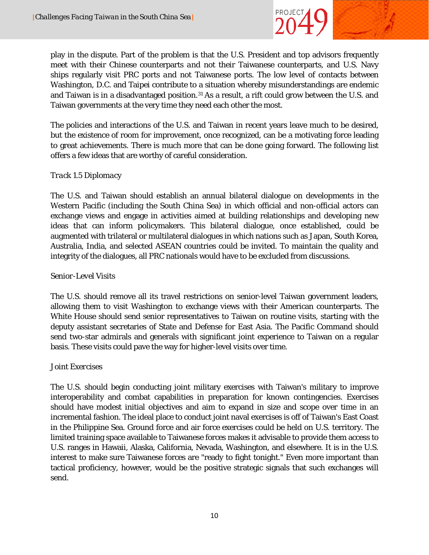

play in the dispute. Part of the problem is that the U.S. President and top advisors frequently meet with their Chinese counterparts *and not* their Taiwanese counterparts, and U.S. Navy ships regularly visit PRC ports *and not* Taiwanese ports. The low level of contacts between Washington, D.C. and Taipei contribute to a situation whereby misunderstandings are endemic and Taiwan is in a disadvantaged position.<sup>31</sup> As a result, a rift could grow between the U.S. and Taiwan governments at the very time they need each other the most.

The policies and interactions of the U.S. and Taiwan in recent years leave much to be desired, but the existence of room for improvement, once recognized, can be a motivating force leading to great achievements. There is much more that can be done going forward. The following list offers a few ideas that are worthy of careful consideration.

#### *Track 1.5 Diplomacy*

The U.S. and Taiwan should establish an annual bilateral dialogue on developments in the Western Pacific (including the South China Sea) in which official and non-official actors can exchange views and engage in activities aimed at building relationships and developing new ideas that can inform policymakers. This bilateral dialogue, once established, could be augmented with trilateral or multilateral dialogues in which nations such as Japan, South Korea, Australia, India, and selected ASEAN countries could be invited. To maintain the quality and integrity of the dialogues, all PRC nationals would have to be excluded from discussions.

#### *Senior-Level Visits*

The U.S. should remove all its travel restrictions on senior-level Taiwan government leaders, allowing them to visit Washington to exchange views with their American counterparts. The White House should send senior representatives to Taiwan on routine visits, starting with the deputy assistant secretaries of State and Defense for East Asia. The Pacific Command should send two-star admirals and generals with significant joint experience to Taiwan on a regular basis. These visits could pave the way for higher-level visits over time.

#### *Joint Exercises*

The U.S. should begin conducting joint military exercises with Taiwan's military to improve interoperability and combat capabilities in preparation for known contingencies. Exercises should have modest initial objectives and aim to expand in size and scope over time in an incremental fashion. The ideal place to conduct joint naval exercises is off of Taiwan's East Coast in the Philippine Sea. Ground force and air force exercises could be held on U.S. territory. The limited training space available to Taiwanese forces makes it advisable to provide them access to U.S. ranges in Hawaii, Alaska, California, Nevada, Washington, and elsewhere. It is in the U.S. interest to make sure Taiwanese forces are "ready to fight tonight." Even more important than tactical proficiency, however, would be the positive strategic signals that such exchanges will send.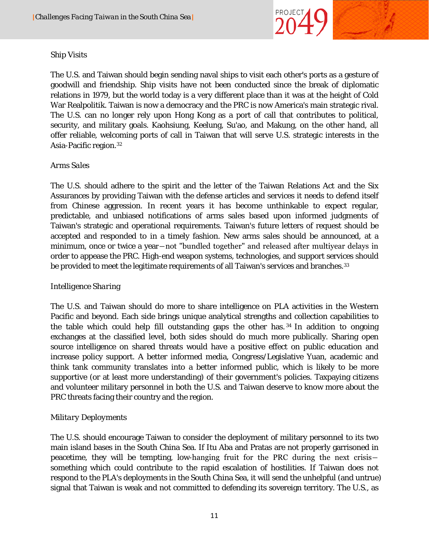

#### *Ship Visits*

The U.S. and Taiwan should begin sending naval ships to visit each other's ports as a gesture of goodwill and friendship. Ship visits have not been conducted since the break of diplomatic relations in 1979, but the world today is a very different place than it was at the height of Cold War Realpolitik. Taiwan is now a democracy and the PRC is now America's main strategic rival. The U.S. can no longer rely upon Hong Kong as a port of call that contributes to political, security, and military goals. Kaohsiung, Keelung, Su'ao, and Makung, on the other hand, all offer reliable, welcoming ports of call in Taiwan that will serve U.S. strategic interests in the Asia-Pacific region[.32](#page-21-21)

#### *Arms Sales*

The U.S. should adhere to the spirit and the letter of the Taiwan Relations Act and the Six Assurances by providing Taiwan with the defense articles and services it needs to defend itself from Chinese aggression. In recent years it has become unthinkable to expect regular, predictable, and unbiased notifications of arms sales based upon informed judgments of Taiwan's strategic and operational requirements. Taiwan's future letters of request should be accepted and responded to in a timely fashion. New arms sales should be announced, at a minimum, once or twice a year―not "bundled together" and released after multiyear delays in order to appease the PRC. High-end weapon systems, technologies, and support services should be provided to meet the legitimate requirements of all Taiwan's services and branches.<sup>[33](#page-21-22)</sup>

#### *Intelligence Sharing*

The U.S. and Taiwan should do more to share intelligence on PLA activities in the Western Pacific and beyond. Each side brings unique analytical strengths and collection capabilities to the table which could help fill outstanding gaps the other has. [34](#page-21-23) In addition to ongoing exchanges at the classified level, both sides should do much more publically. Sharing open source intelligence on shared threats would have a positive effect on public education and increase policy support. A better informed media, Congress/Legislative Yuan, academic and think tank community translates into a better informed public, which is likely to be more supportive (or at least more understanding) of their government's policies. Taxpaying citizens and volunteer military personnel in both the U.S. and Taiwan deserve to know more about the PRC threats facing their country and the region.

#### *Military Deployments*

The U.S. should encourage Taiwan to consider the deployment of military personnel to its two main island bases in the South China Sea. If Itu Aba and Pratas are not properly garrisoned in peacetime, they will be tempting, low-hanging fruit for the PRC during the next crisis― something which could contribute to the rapid escalation of hostilities. If Taiwan does not respond to the PLA's deployments in the South China Sea, it will send the unhelpful (and untrue) signal that Taiwan is weak and not committed to defending its sovereign territory. The U.S., as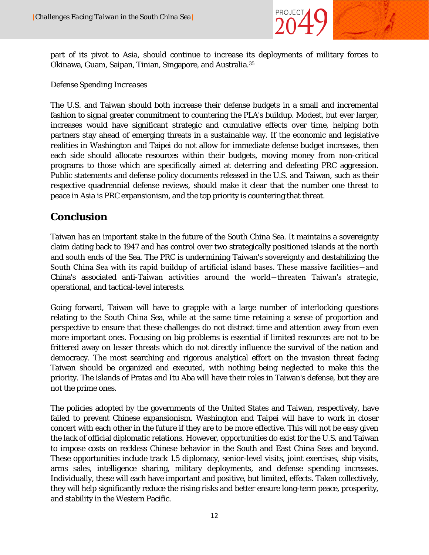

part of its pivot to Asia, should continue to increase its deployments of military forces to Okinawa, Guam, Saipan, Tinian, Singapore, and Australia[.35](#page-21-24)

#### *Defense Spending Increases*

The U.S. and Taiwan should both increase their defense budgets in a small and incremental fashion to signal greater commitment to countering the PLA's buildup. Modest, but ever larger, increases would have significant strategic and cumulative effects over time, helping both partners stay ahead of emerging threats in a sustainable way. If the economic and legislative realities in Washington and Taipei do not allow for immediate defense budget increases, then each side should allocate resources within their budgets, moving money from non-critical programs to those which are specifically aimed at deterring and defeating PRC aggression. Public statements and defense policy documents released in the U.S. and Taiwan, such as their respective quadrennial defense reviews, should make it clear that the number one threat to peace in Asia is PRC expansionism, and the top priority is countering that threat.

## **Conclusion**

Taiwan has an important stake in the future of the South China Sea. It maintains a sovereignty claim dating back to 1947 and has control over two strategically positioned islands at the north and south ends of the Sea. The PRC is undermining Taiwan's sovereignty and destabilizing the South China Sea with its rapid buildup of artificial island bases. These massive facilities―and China's associated anti-Taiwan activities around the world―threaten Taiwan's strategic, operational, and tactical-level interests.

Going forward, Taiwan will have to grapple with a large number of interlocking questions relating to the South China Sea, while at the same time retaining a sense of proportion and perspective to ensure that these challenges do not distract time and attention away from even more important ones. Focusing on big problems is essential if limited resources are not to be frittered away on lesser threats which do not directly influence the survival of the nation and democracy. The most searching and rigorous analytical effort on the invasion threat facing Taiwan should be organized and executed, with nothing being neglected to make this the priority. The islands of Pratas and Itu Aba will have their roles in Taiwan's defense, but they are not the prime ones.

The policies adopted by the governments of the United States and Taiwan, respectively, have failed to prevent Chinese expansionism. Washington and Taipei will have to work in closer concert with each other in the future if they are to be more effective. This will not be easy given the lack of official diplomatic relations. However, opportunities do exist for the U.S. and Taiwan to impose costs on reckless Chinese behavior in the South and East China Seas and beyond. These opportunities include track 1.5 diplomacy, senior-level visits, joint exercises, ship visits, arms sales, intelligence sharing, military deployments, and defense spending increases. Individually, these will each have important and positive, but limited, effects. Taken collectively, they will help significantly reduce the rising risks and better ensure long-term peace, prosperity, and stability in the Western Pacific.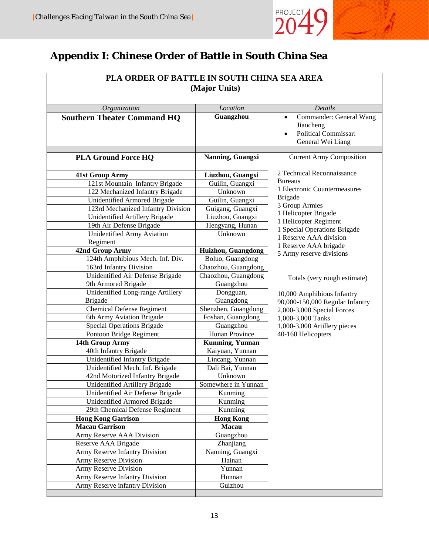

# **Appendix I: Chinese Order of Battle in South China Sea**

| PLA ORDER OF BATTLE IN SOUTH CHINA SEA AREA         |                        |                                                   |  |  |
|-----------------------------------------------------|------------------------|---------------------------------------------------|--|--|
| (Major Units)                                       |                        |                                                   |  |  |
|                                                     |                        |                                                   |  |  |
| <b>Southern Theater Command HQ</b>                  | Guangzhou              | Commander: General Wang<br>$\bullet$              |  |  |
|                                                     |                        | Jiaocheng                                         |  |  |
|                                                     |                        | <b>Political Commissar:</b><br>$\bullet$          |  |  |
|                                                     |                        | General Wei Liang                                 |  |  |
| <b>PLA Ground Force HQ</b>                          | Nanning, Guangxi       | <b>Current Army Composition</b>                   |  |  |
|                                                     |                        |                                                   |  |  |
| <b>41st Group Army</b>                              | Liuzhou, Guangxi       | 2 Technical Reconnaissance                        |  |  |
| 121st Mountain Infantry Brigade                     | Guilin, Guangxi        | <b>Bureaus</b>                                    |  |  |
| 122 Mechanized Infantry Brigade                     | Unknown                | 1 Electronic Countermeasures                      |  |  |
| <b>Unidentified Armored Brigade</b>                 | Guilin, Guangxi        | <b>Brigade</b>                                    |  |  |
| 123rd Mechanized Infantry Division                  | Guigang, Guangxi       | 3 Group Armies<br>1 Helicopter Brigade            |  |  |
| Unidentified Artillery Brigade                      | Liuzhou, Guangxi       | 1 Helicopter Regiment                             |  |  |
| 19th Air Defense Brigade                            | Hengyang, Hunan        | 1 Special Operations Brigade                      |  |  |
| Unidentified Army Aviation                          | Unknown                | 1 Reserve AAA division                            |  |  |
| Regiment                                            |                        | 1 Reserve AAA brigade                             |  |  |
| 42nd Group Army                                     | Huizhou, Guangdong     | 5 Army reserve divisions                          |  |  |
| 124th Amphibious Mech. Inf. Div.                    | Boluo, Guangdong       |                                                   |  |  |
| 163rd Infantry Division                             | Chaozhou, Guangdong    |                                                   |  |  |
| Unidentified Air Defense Brigade                    | Chaozhou, Guangdong    | Totals (very rough estimate)                      |  |  |
| 9th Armored Brigade                                 | Guangzhou              |                                                   |  |  |
| Unidentified Long-range Artillery<br><b>Brigade</b> | Dongguan,<br>Guangdong | 10,000 Amphibious Infantry                        |  |  |
| <b>Chemical Defense Regiment</b>                    | Shenzhen, Guangdong    | 90,000-150,000 Regular Infantry                   |  |  |
| 6th Army Aviation Brigade                           | Foshan, Guangdong      | 2,000-3,000 Special Forces                        |  |  |
| Special Operations Brigade                          | Guangzhou              | 1,000-3,000 Tanks<br>1,000-3,000 Artillery pieces |  |  |
| Pontoon Bridge Regiment                             | Hunan Province         | 40-160 Helicopters                                |  |  |
| 14th Group Army                                     | Kunming, Yunnan        |                                                   |  |  |
| 40th Infantry Brigade                               | Kaiyuan, Yunnan        |                                                   |  |  |
| Unidentified Infantry Brigade                       | Lincang, Yunnan        |                                                   |  |  |
| Unidentified Mech. Inf. Brigade                     | Dali Bai, Yunnan       |                                                   |  |  |
| 42nd Motorized Infantry Brigade                     | Unknown                |                                                   |  |  |
| Unidentified Artillery Brigade                      | Somewhere in Yunnan    |                                                   |  |  |
| Unidentified Air Defense Brigade                    | Kunming                |                                                   |  |  |
| Unidentified Armored Brigade                        | Kunming                |                                                   |  |  |
| 29th Chemical Defense Regiment                      | Kunming                |                                                   |  |  |
| <b>Hong Kong Garrison</b>                           | <b>Hong Kong</b>       |                                                   |  |  |
| <b>Macau Garrison</b>                               | Macau                  |                                                   |  |  |
| Army Reserve AAA Division                           | Guangzhou              |                                                   |  |  |
| Reserve AAA Brigade                                 | Zhanjiang              |                                                   |  |  |
| Army Reserve Infantry Division                      | Nanning, Guangxi       |                                                   |  |  |
| Army Reserve Division                               | Hainan                 |                                                   |  |  |
| Army Reserve Division                               | Yunnan                 |                                                   |  |  |
| Army Reserve Infantry Division                      | Hunnan                 |                                                   |  |  |
| Army Reserve infantry Division                      | Guizhou                |                                                   |  |  |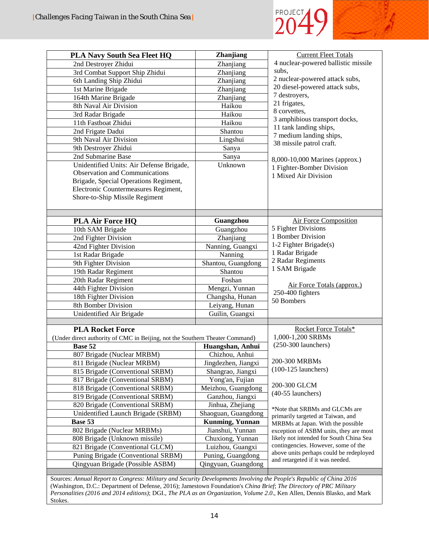

| <b>PLA Navy South Sea Fleet HQ</b>                                           | Zhanjiang                     | <b>Current Fleet Totals</b>                                         |
|------------------------------------------------------------------------------|-------------------------------|---------------------------------------------------------------------|
| 2nd Destroyer Zhidui                                                         | Zhanjiang                     | 4 nuclear-powered ballistic missile                                 |
| 3rd Combat Support Ship Zhidui                                               | Zhanjiang                     | subs,                                                               |
| 6th Landing Ship Zhidui                                                      | Zhanjiang                     | 2 nuclear-powered attack subs,                                      |
| 1st Marine Brigade                                                           | Zhanjiang                     | 20 diesel-powered attack subs,                                      |
| 164th Marine Brigade                                                         | Zhanjiang                     | 7 destroyers,                                                       |
| 8th Naval Air Division                                                       | Haikou                        | 21 frigates,                                                        |
| 3rd Radar Brigade                                                            | Haikou                        | 8 corvettes,                                                        |
| 11th Fastboat Zhidui                                                         | Haikou                        | 3 amphibious transport docks,                                       |
| 2nd Frigate Dadui                                                            | Shantou                       | 11 tank landing ships,                                              |
| 9th Naval Air Division                                                       | Lingshui                      | 7 medium landing ships,<br>38 missile patrol craft.                 |
| 9th Destroyer Zhidui                                                         | Sanya                         |                                                                     |
| 2nd Submarine Base                                                           | Sanya                         | 8,000-10,000 Marines (approx.)                                      |
| Unidentified Units: Air Defense Brigade,                                     | Unknown                       | 1 Fighter-Bomber Division                                           |
| Observation and Communications                                               |                               | 1 Mixed Air Division                                                |
| Brigade, Special Operations Regiment,                                        |                               |                                                                     |
| Electronic Countermeasures Regiment,                                         |                               |                                                                     |
| Shore-to-Ship Missile Regiment                                               |                               |                                                                     |
|                                                                              |                               |                                                                     |
|                                                                              | Guangzhou                     | <b>Air Force Composition</b>                                        |
| <b>PLA Air Force HQ</b>                                                      | Guangzhou                     | 5 Fighter Divisions                                                 |
| 10th SAM Brigade                                                             |                               | 1 Bomber Division                                                   |
| 2nd Fighter Division                                                         | Zhanjiang                     | 1-2 Fighter Brigade(s)                                              |
| 42nd Fighter Division                                                        | Nanning, Guangxi              | 1 Radar Brigade                                                     |
| 1st Radar Brigade                                                            | Nanning                       | 2 Radar Regiments                                                   |
| 9th Fighter Division                                                         | Shantou, Guangdong<br>Shantou | 1 SAM Brigade                                                       |
| 19th Radar Regiment                                                          | Foshan                        |                                                                     |
| 20th Radar Regiment                                                          | Mengzi, Yunnan                | Air Force Totals (approx.)                                          |
| 44th Fighter Division<br>18th Fighter Division                               | Changsha, Hunan               | 250-400 fighters                                                    |
| 8th Bomber Division                                                          | Leiyang, Hunan                | 50 Bombers                                                          |
| Unidentified Air Brigade                                                     | Guilin, Guangxi               |                                                                     |
|                                                                              |                               |                                                                     |
| <b>PLA Rocket Force</b>                                                      |                               | Rocket Force Totals*                                                |
| (Under direct authority of CMC in Beijing, not the Southern Theater Command) |                               | 1,000-1,200 SRBMs                                                   |
| Base 52                                                                      | Huangshan, Anhui              | $(250-300$ launchers)                                               |
| 807 Brigade (Nuclear MRBM)                                                   | Chizhou, Anhui                |                                                                     |
| 811 Brigade (Nuclear MRBM)                                                   | Jingdezhen, Jiangxi           | 200-300 MRBMs                                                       |
| 815 Brigade (Conventional SRBM)                                              | Shangrao, Jiangxi             | $(100-125$ launchers)                                               |
| 817 Brigade (Conventional SRBM)                                              | Yong'an, Fujian               |                                                                     |
| 818 Brigade (Conventional SRBM)                                              | Meizhou, Guangdong            | 200-300 GLCM                                                        |
| 819 Brigade (Conventional SRBM)                                              | Ganzhou, Jiangxi              | (40-55 launchers)                                                   |
| 820 Brigade (Conventional SRBM)                                              | Jinhua, Zhejiang              |                                                                     |
| Unidentified Launch Brigade (SRBM)                                           | Shaoguan, Guangdong           | *Note that SRBMs and GLCMs are<br>primarily targeted at Taiwan, and |
| Base 53                                                                      | <b>Kunming, Yunnan</b>        | MRBMs at Japan. With the possible                                   |
| 802 Brigade (Nuclear MRBMs)                                                  | Jianshui, Yunnan              | exception of ASBM units, they are most                              |
| 808 Brigade (Unknown missile)                                                | Chuxiong, Yunnan              | likely not intended for South China Sea                             |
| 821 Brigade (Conventional GLCM)                                              | Luizhou, Guangxi              | contingencies. However, some of the                                 |
| Puning Brigade (Conventional SRBM)                                           |                               |                                                                     |
|                                                                              | Puning, Guangdong             | above units perhaps could be redeployed                             |
| Qingyuan Brigade (Possible ASBM)                                             | Qingyuan, Guangdong           | and retargeted if it was needed.                                    |

Sources: *Annual Report to Congress: Military and Security Developments Involving the People's Republic of China 2016* (Washington, D.C.: Department of Defense, 2016); Jamestown Foundation's *China Brief*; *The Directory of PRC Military Personalities (2016 and 2014 editions)*; DGI., *The PLA as an Organization, Volume 2.0*., Ken Allen, Dennis Blasko, and Mark Stokes.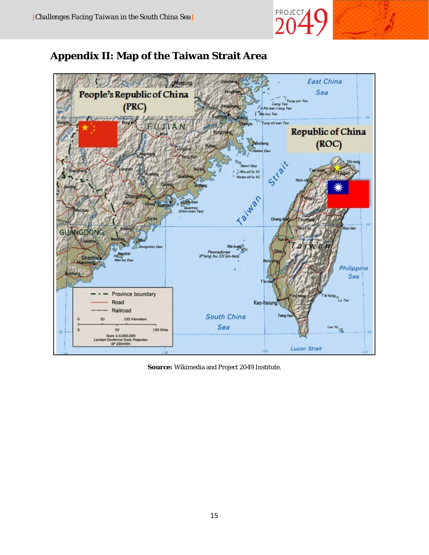

# **Appendix II: Map of the Taiwan Strait Area**



**Source:** Wikimedia and Project 2049 Institute.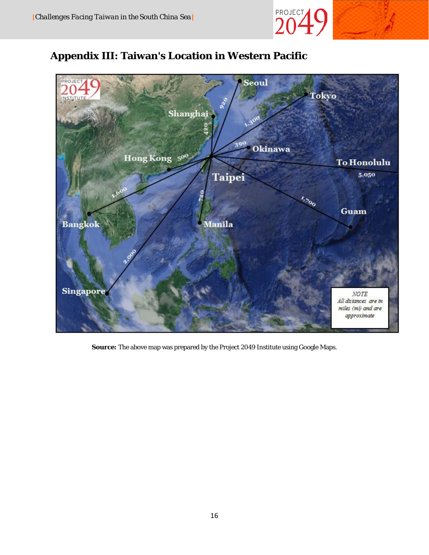

# **Appendix III: Taiwan's Location in Western Pacific**



**Source:** The above map was prepared by the Project 2049 Institute using Google Maps.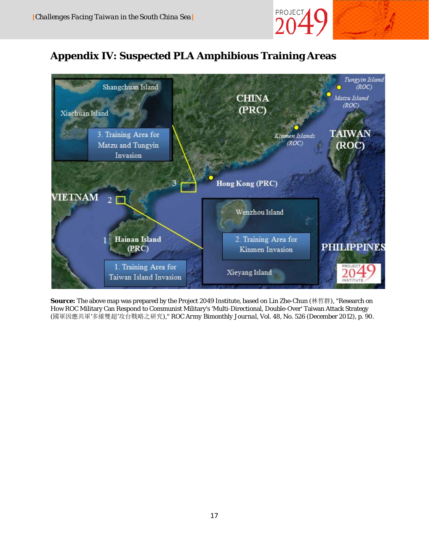

# **Appendix IV: Suspected PLA Amphibious Training Areas**



**Source:** The above map was prepared by the Project 2049 Institute, based on Lin Zhe-Chun (林哲群), "Research on How ROC Military Can Respond to Communist Military's 'Multi-Directional, Double-Over' Taiwan Attack Strategy (國軍因應共軍'多維雙超'攻台戰略之研究)," *ROC Army Bimonthly Journal*, Vol. 48, No. 526 (December 2012), p. 90.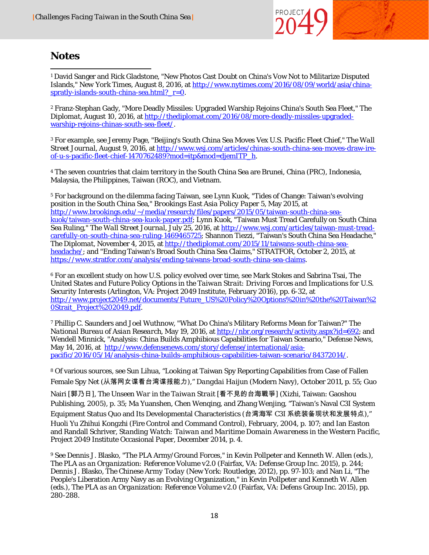

## **Notes**

 $\overline{a}$ <sup>1</sup> David Sanger and Rick Gladstone, "New Photos Cast Doubt on China's Vow Not to Militarize Disputed Islands," *New York Times*, August 8, 2016, at [http://www.nytimes.com/2016/08/09/world/asia/china](http://www.nytimes.com/2016/08/09/world/asia/china-spratly-islands-south-china-sea.html?_r=0)[spratly-islands-south-china-sea.html?\\_r=0.](http://www.nytimes.com/2016/08/09/world/asia/china-spratly-islands-south-china-sea.html?_r=0)

<sup>2</sup> Franz-Stephan Gady, "More Deadly Missiles: Upgraded Warship Rejoins China's South Sea Fleet," *The Diplomat*, August 10, 2016, at [http://thediplomat.com/2016/08/more-deadly-missiles-upgraded](http://thediplomat.com/2016/08/more-deadly-missiles-upgraded-warship-rejoins-chinas-south-sea-fleet/)[warship-rejoins-chinas-south-sea-fleet/.](http://thediplomat.com/2016/08/more-deadly-missiles-upgraded-warship-rejoins-chinas-south-sea-fleet/)

<sup>3</sup> For example, see Jeremy Page, "Beijing's South China Sea Moves Vex U.S. Pacific Fleet Chief," *The Wall Street Journal*, August 9, 2016, at [http://www.wsj.com/articles/chinas-south-china-sea-moves-draw-ire](http://www.wsj.com/articles/chinas-south-china-sea-moves-draw-ire-of-u-s-pacific-fleet-chief-1470762489?mod=itp&mod=djemITP_h)[of-u-s-pacific-fleet-chief-1470762489?mod=itp&mod=djemITP\\_h.](http://www.wsj.com/articles/chinas-south-china-sea-moves-draw-ire-of-u-s-pacific-fleet-chief-1470762489?mod=itp&mod=djemITP_h)

<sup>4</sup> The seven countries that claim territory in the South China Sea are Brunei, China (PRC), Indonesia, Malaysia, the Philippines, Taiwan (ROC), and Vietnam.

<sup>5</sup> For background on the dilemma facing Taiwan, see Lynn Kuok, "Tides of Change: Taiwan's evolving position in the South China Sea," *Brookings East Asia Policy Paper 5*, May 2015, at [http://www.brookings.edu/~/media/research/files/papers/2015/05/taiwan-south-china-sea](http://www.brookings.edu/%7E/media/research/files/papers/2015/05/taiwan-south-china-sea-kuok/taiwan-south-china-sea-kuok-paper.pdf)[kuok/taiwan-south-china-sea-kuok-paper.pdf;](http://www.brookings.edu/%7E/media/research/files/papers/2015/05/taiwan-south-china-sea-kuok/taiwan-south-china-sea-kuok-paper.pdf) Lynn Kuok, "Taiwan Must Tread Carefully on South China Sea Ruling," *The Wall Street Journal*, July 25, 2016, a[t http://www.wsj.com/articles/taiwan-must-tread](http://www.wsj.com/articles/taiwan-must-tread-carefully-on-south-china-sea-ruling-1469465725)[carefully-on-south-china-sea-ruling-1469465725;](http://www.wsj.com/articles/taiwan-must-tread-carefully-on-south-china-sea-ruling-1469465725) Shannon Tiezzi, "Taiwan's South China Sea Headache," *The Diplomat*, November 4, 2015, at [http://thediplomat.com/2015/11/taiwans-south-china-sea](http://thediplomat.com/2015/11/taiwans-south-china-sea-headache/)[headache/;](http://thediplomat.com/2015/11/taiwans-south-china-sea-headache/) and "Ending Taiwan's Broad South China Sea Claims," *STRATFOR*, October 2, 2015, at [https://www.stratfor.com/analysis/ending-taiwans-broad-south-china-sea-claims.](https://www.stratfor.com/analysis/ending-taiwans-broad-south-china-sea-claims)

<sup>6</sup> For an excellent study on how U.S. policy evolved over time, see Mark Stokes and Sabrina Tsai, *The United States and Future Policy Options in the Taiwan Strait: Driving Forces and Implications for U.S. Security Interests* (Arlington, VA: Project 2049 Institute, February 2016), pp. 6-32, at [http://www.project2049.net/documents/Future\\_US%20Policy%20Options%20in%20the%20Taiwan%2](http://www.project2049.net/documents/Future_US%20Policy%20Options%20in%20the%20Taiwan%20Strait_Project%202049.pdf) [0Strait\\_Project%202049.pdf.](http://www.project2049.net/documents/Future_US%20Policy%20Options%20in%20the%20Taiwan%20Strait_Project%202049.pdf)

<sup>7</sup> Phillip C. Saunders and Joel Wuthnow, "What Do China's Military Reforms Mean for Taiwan?" *The National Bureau of Asian Research*, May 19, 2016, a[t http://nbr.org/research/activity.aspx?id=692;](http://nbr.org/research/activity.aspx?id=692) and Wendell Minnick, "Analysis: China Builds Amphibious Capabilities for Taiwan Scenario," *Defense News*, May 14, 2016, at [http://www.defensenews.com/story/defense/international/asia](http://www.defensenews.com/story/defense/international/asia-pacific/2016/05/14/analysis-china-builds-amphibious-capabilities-taiwan-scenario/84372014/)[pacific/2016/05/14/analysis-china-builds-amphibious-capabilities-taiwan-scenario/84372014/.](http://www.defensenews.com/story/defense/international/asia-pacific/2016/05/14/analysis-china-builds-amphibious-capabilities-taiwan-scenario/84372014/)

<sup>8</sup> Of various sources, see Sun Lihua, "Looking at Taiwan Spy Reporting Capabilities from Case of Fallen Female Spy Net (从落网女谍看台湾谍报能力)," *Dangdai Haijun* (Modern Navy), October 2011, p. 55; Guo

Nairi [郭乃日], *The Unseen War in the Taiwan Strait* [看不見的台海戰爭] (Xizhi, Taiwan: Gaoshou Publishing, 2005), p. 35; Ma Yuanshen, Chen Wenqing, and Zhang Wenjing, "Taiwan's Naval C3I System Equipment Status Quo and Its Developmental Characteristics (台湾海军 C3I 系统装备现状和发展特点),"

*Huoli Yu Zhihui Kongzhi* (Fire Control and Command Control), February, 2004, p. 107; and Ian Easton and Randall Schriver, *Standing Watch: Taiwan and Maritime Domain Awareness in the Western Pacific*, Project 2049 Institute Occasional Paper, December 2014, p. 4.

<sup>9</sup> See Dennis J. Blasko, "The PLA Army/Ground Forces," in Kevin Pollpeter and Kenneth W. Allen (eds.), *The PLA as an Organization: Reference Volume v2.0* (Fairfax, VA: Defense Group Inc. 2015), p. 244; Dennis J. Blasko, *The Chinese Army Today* (New York: Routledge, 2012), pp. 97-103; and Nan Li, "The People's Liberation Army Navy as an Evolving Organization," in Kevin Pollpeter and Kenneth W. Allen (eds.), *The PLA as an Organization: Reference Volume v2.0* (Fairfax, VA: Defens Group Inc. 2015), pp. 280-288.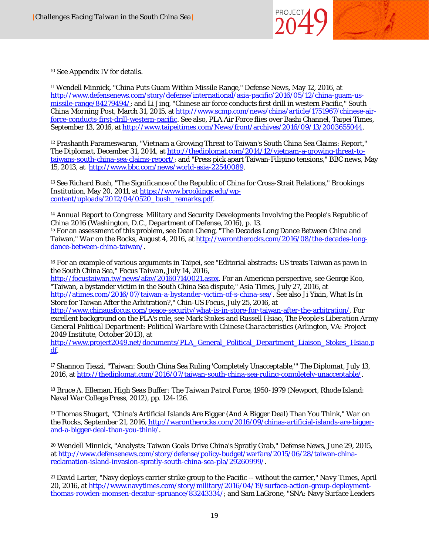

<sup>10</sup> See Appendix IV for details.

<span id="page-20-0"></span>

l

<span id="page-20-1"></span><sup>11</sup> Wendell Minnick, "China Puts Guam Within Missile Range," *Defense News*, May 12, 2016, at [http://www.defensenews.com/story/defense/international/asia-pacific/2016/05/12/china-guam-us](http://www.defensenews.com/story/defense/international/asia-pacific/2016/05/12/china-guam-us-missile-range/84279494/)[missile-range/84279494/;](http://www.defensenews.com/story/defense/international/asia-pacific/2016/05/12/china-guam-us-missile-range/84279494/) and Li Jing, "Chinese air force conducts first drill in western Pacific," *South China Morning Post*, March 31, 2015, at [http://www.scmp.com/news/china/article/1751967/chinese-air](http://www.scmp.com/news/china/article/1751967/chinese-air-force-conducts-first-drill-western-pacific)[force-conducts-first-drill-western-pacific.](http://www.scmp.com/news/china/article/1751967/chinese-air-force-conducts-first-drill-western-pacific) See also, PLA Air Force flies over Bashi Channel, Taipei Times, September 13, 2016, at [http://www.taipeitimes.com/News/front/archives/2016/09/13/2003655044.](http://www.taipeitimes.com/News/front/archives/2016/09/13/2003655044)

<span id="page-20-2"></span><sup>12</sup> Prashanth Parameswaran, "Vietnam a Growing Threat to Taiwan's South China Sea Claims: Report," *The Diplomat*, December 31, 2014, a[t http://thediplomat.com/2014/12/vietnam-a-growing-threat-to](http://thediplomat.com/2014/12/vietnam-a-growing-threat-to-taiwans-south-china-sea-claims-report/)[taiwans-south-china-sea-claims-report/;](http://thediplomat.com/2014/12/vietnam-a-growing-threat-to-taiwans-south-china-sea-claims-report/) and "Press pick apart Taiwan-Filipino tensions," *BBC news*, May 15, 2013, at [http://www.bbc.com/news/world-asia-22540089.](http://www.bbc.com/news/world-asia-22540089)

<span id="page-20-4"></span><span id="page-20-3"></span><sup>13</sup> See Richard Bush, "The Significance of the Republic of China for Cross-Strait Relations," *Brookings Institution*, May 20, 2011, at [https://www.brookings.edu/wp](https://www.brookings.edu/wp-content/uploads/2012/04/0520_bush_remarks.pdf)[content/uploads/2012/04/0520\\_bush\\_remarks.pdf.](https://www.brookings.edu/wp-content/uploads/2012/04/0520_bush_remarks.pdf)

<sup>14</sup> *Annual Report to Congress: Military and Security Developments Involving the People's Republic of China 2016* (Washington, D.C., Department of Defense, 2016), p. 13.

<sup>15</sup> For an assessment of this problem, see Dean Cheng, "The Decades Long Dance Between China and Taiwan," *War on the Rocks*, August 4, 2016, a[t http://warontherocks.com/2016/08/the-decades-long](http://warontherocks.com/2016/08/the-decades-long-dance-between-china-taiwan/)[dance-between-china-taiwan/.](http://warontherocks.com/2016/08/the-decades-long-dance-between-china-taiwan/)

<sup>16</sup> For an example of various arguments in Taipei, see "Editorial abstracts: US treats Taiwan as pawn in the South China Sea," *Focus Taiwan*, July 14, 2016,

<span id="page-20-5"></span>[http://focustaiwan.tw/news/afav/201607140021.aspx.](http://focustaiwan.tw/news/afav/201607140021.aspx) For an American perspective, see George Koo, "Taiwan, a bystander victim in the South China Sea dispute," *Asia Times*, July 27, 2016, at [http://atimes.com/2016/07/taiwan-a-bystander-victim-of-s-china-sea/.](http://atimes.com/2016/07/taiwan-a-bystander-victim-of-s-china-sea/) See also Ji Yixin, What Is In Store for Taiwan After the Arbitration?," *Chin-US Focus*, July 25, 2016, at

<span id="page-20-6"></span>[http://www.chinausfocus.com/peace-security/what-is-in-store-for-taiwan-after-the-arbitration/.](http://www.chinausfocus.com/peace-security/what-is-in-store-for-taiwan-after-the-arbitration/) For excellent background on the PLA's role, see Mark Stokes and Russell Hsiao, *The People's Liberation Army General Political Department: Political Warfare with Chinese Characteristics* (Arlington, VA: Project 2049 Institute, October 2013), at

[http://www.project2049.net/documents/PLA\\_General\\_Political\\_Department\\_Liaison\\_Stokes\\_Hsiao.p](http://www.project2049.net/documents/PLA_General_Political_Department_Liaison_Stokes_Hsiao.pdf) [df.](http://www.project2049.net/documents/PLA_General_Political_Department_Liaison_Stokes_Hsiao.pdf)

<span id="page-20-7"></span><sup>17</sup> Shannon Tiezzi, "Taiwan: South China Sea Ruling 'Completely Unacceptable,'" *The Diplomat*, July 13, 2016, a[t http://thediplomat.com/2016/07/taiwan-south-china-sea-ruling-completely-unacceptable/.](http://thediplomat.com/2016/07/taiwan-south-china-sea-ruling-completely-unacceptable/)

<sup>18</sup> Bruce A. Elleman, *High Seas Buffer: The Taiwan Patrol Force, 1950-1979* (Newport, Rhode Island: Naval War College Press, 2012), pp. 124-126.

<sup>19</sup> Thomas Shugart, "China's Artificial Islands Are Bigger (And A Bigger Deal) Than You Think," *War on the Rocks*, September 21, 2016, [http://warontherocks.com/2016/09/chinas-artificial-islands-are-bigger](http://warontherocks.com/2016/09/chinas-artificial-islands-are-bigger-and-a-bigger-deal-than-you-think/)[and-a-bigger-deal-than-you-think/.](http://warontherocks.com/2016/09/chinas-artificial-islands-are-bigger-and-a-bigger-deal-than-you-think/)

<span id="page-20-8"></span><sup>20</sup> Wendell Minnick, "Analysts: Taiwan Goals Drive China's Spratly Grab," *Defense News*, June 29, 2015, at [http://www.defensenews.com/story/defense/policy-budget/warfare/2015/06/28/taiwan-china](http://www.defensenews.com/story/defense/policy-budget/warfare/2015/06/28/taiwan-china-reclamation-island-invasion-spratly-south-china-sea-pla/29260999/)[reclamation-island-invasion-spratly-south-china-sea-pla/29260999/.](http://www.defensenews.com/story/defense/policy-budget/warfare/2015/06/28/taiwan-china-reclamation-island-invasion-spratly-south-china-sea-pla/29260999/)

<sup>21</sup> David Larter, "Navy deploys carrier strike group to the Pacific -- without the carrier," *Navy Times*, April 20, 2016, a[t http://www.navytimes.com/story/military/2016/04/19/surface-action-group-deployment](http://www.navytimes.com/story/military/2016/04/19/surface-action-group-deployment-thomas-rowden-momsen-decatur-spruance/83243334/)[thomas-rowden-momsen-decatur-spruance/83243334/;](http://www.navytimes.com/story/military/2016/04/19/surface-action-group-deployment-thomas-rowden-momsen-decatur-spruance/83243334/) and Sam LaGrone, "SNA: Navy Surface Leaders